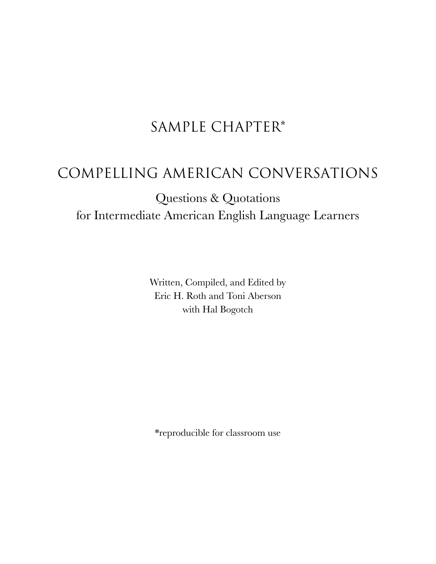# SAMPLE CHAPTER\*

# COMPELLING AMERICAN CONVERSATIONS

# Questions & Quotations for Intermediate American English Language Learners

Written, Compiled, and Edited by Eric H. Roth and Toni Aberson with Hal Bogotch

\*reproducible for classroom use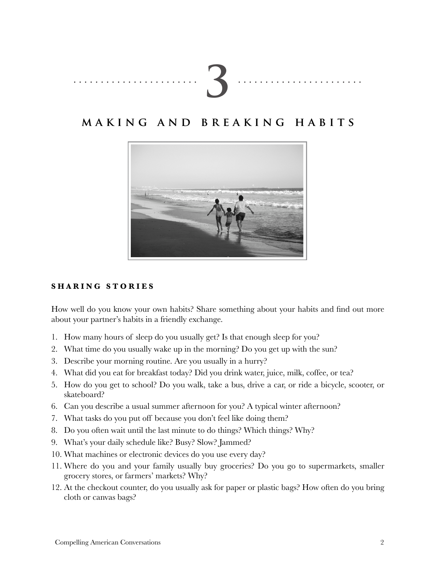|--|

## **m a k i n g a n d b r e a k i n g h a b i t s**



#### **S H A R I N G S T O R I E S**

How well do you know your own habits? Share something about your habits and find out more about your partner's habits in a friendly exchange.

- 1. How many hours of sleep do you usually get? Is that enough sleep for you?
- 2. What time do you usually wake up in the morning? Do you get up with the sun?
- 3. Describe your morning routine. Are you usually in a hurry?
- 4. What did you eat for breakfast today? Did you drink water, juice, milk, coffee, or tea?
- 5. How do you get to school? Do you walk, take a bus, drive a car, or ride a bicycle, scooter, or skateboard?
- 6. Can you describe a usual summer afternoon for you? A typical winter afternoon?
- 7. What tasks do you put off because you don't feel like doing them?
- 8. Do you often wait until the last minute to do things? Which things? Why?
- 9. What's your daily schedule like? Busy? Slow? Jammed?
- 10. What machines or electronic devices do you use every day?
- 11. Where do you and your family usually buy groceries? Do you go to supermarkets, smaller grocery stores, or farmers' markets? Why?
- 12. At the checkout counter, do you usually ask for paper or plastic bags? How often do you bring cloth or canvas bags?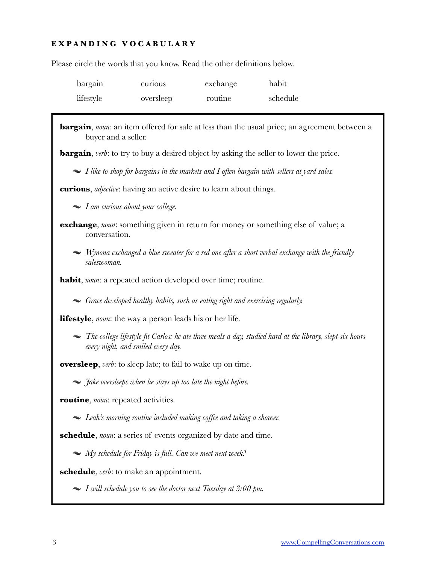### **E X P A N D I N G V O C A B U L A R Y**

Please circle the words that you know. Read the other definitions below.

| bargain   | curious   | exchange | habit    |
|-----------|-----------|----------|----------|
| lifestyle | oversleep | routine  | schedule |

| <b>bargain</b> , noun: an item offered for sale at less than the usual price; an agreement between a<br>buyer and a seller.                           |
|-------------------------------------------------------------------------------------------------------------------------------------------------------|
| <b>bargain</b> , verb: to try to buy a desired object by asking the seller to lower the price.                                                        |
| $\sim$ I like to shop for bargains in the markets and I often bargain with sellers at yard sales.                                                     |
| <b>curious</b> , <i>adjective</i> : having an active desire to learn about things.                                                                    |
| $\blacktriangleright$ I am curious about your college.                                                                                                |
| <b>exchange</b> , noun: something given in return for money or something else of value; a<br>conversation.                                            |
| $\sim$ Wynona exchanged a blue sweater for a red one after a short verbal exchange with the friendly<br>saleswoman.                                   |
| <b>habit</b> , noun: a repeated action developed over time; routine.                                                                                  |
| $\sim$ Grace developed healthy habits, such as eating right and exercising regularly.                                                                 |
| <b>lifestyle</b> , <i>noun</i> : the way a person leads his or her life.                                                                              |
| $\sim$ The college lifestyle fit Carlos: he ate three meals a day, studied hard at the library, slept six hours<br>every night, and smiled every day. |
| <b>oversleep</b> , <i>verb</i> : to sleep late; to fail to wake up on time.                                                                           |
| $\sim$ <i>Jake oversleeps when he stays up too late the night before.</i>                                                                             |
| routine, noun: repeated activities.                                                                                                                   |
| $\sim$ Leah's morning routine included making coffee and taking a shower.                                                                             |
| <b>schedule</b> , <i>noun</i> : a series of events organized by date and time.                                                                        |
| $\sim My$ schedule for Friday is full. Can we meet next week?                                                                                         |
| <b>schedule</b> , <i>verb</i> : to make an appointment.                                                                                               |
| $\sim$ I will schedule you to see the doctor next Tuesday at 3:00 pm.                                                                                 |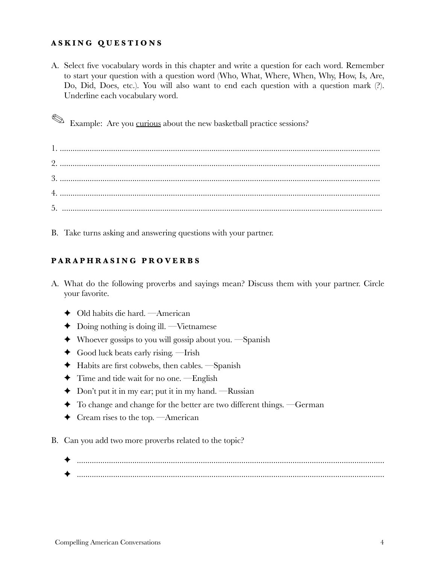#### **A S K I N G Q U E S T I O N S**

A. Select five vocabulary words in this chapter and write a question for each word. Remember to start your question with a question word (Who, What, Where, When, Why, How, Is, Are, Do, Did, Does, etc.). You will also want to end each question with a question mark (?). Underline each vocabulary word.

 $\otimes$  **Example:** Are you curious about the new basketball practice sessions?

1. ...................................................................................................................................................... 2. ...................................................................................................................................................... 3. ...................................................................................................................................................... 4. ...................................................................................................................................................... 5. ......................................................................................................................................................

B. Take turns asking and answering questions with your partner.

### **P A R A P H R A S I N G P R O V E R B S**

- A. What do the following proverbs and sayings mean? Discuss them with your partner. Circle your favorite.
	- ✦ Old habits die hard. —American
	- $\blacklozenge$  Doing nothing is doing ill. —Vietnamese
	- $\blacklozenge$  Whoever gossips to you will gossip about you. —Spanish
	- ✦ Good luck beats early rising. —Irish
	- ✦ Habits are first cobwebs, then cables. —Spanish
	- ✦ Time and tide wait for no one. —English
	- $\triangle$  Don't put it in my ear; put it in my hand. —Russian
	- ✦ To change and change for the better are two different things. —German
	- $\blacklozenge$  Cream rises to the top. —American
- B. Can you add two more proverbs related to the topic?
	- ✦ ................................................................................................................................................ ✦ ................................................................................................................................................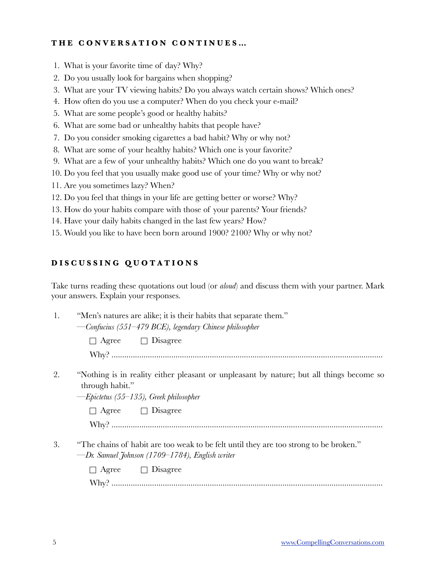#### **T H E C O N V E R S A T I O N C O N T I N U E S …**

- 1. What is your favorite time of day? Why?
- 2. Do you usually look for bargains when shopping?
- 3. What are your TV viewing habits? Do you always watch certain shows? Which ones?
- 4. How often do you use a computer? When do you check your e-mail?
- 5. What are some people's good or healthy habits?
- 6. What are some bad or unhealthy habits that people have?
- 7. Do you consider smoking cigarettes a bad habit? Why or why not?
- 8. What are some of your healthy habits? Which one is your favorite?
- 9. What are a few of your unhealthy habits? Which one do you want to break?
- 10. Do you feel that you usually make good use of your time? Why or why not?
- 11. Are you sometimes lazy? When?
- 12. Do you feel that things in your life are getting better or worse? Why?
- 13. How do your habits compare with those of your parents? Your friends?
- 14. Have your daily habits changed in the last few years? How?
- 15. Would you like to have been born around 1900? 2100? Why or why not?

#### **D I S C U S S I N G Q U O T A T I O N S**

Take turns reading these quotations out loud (or *aloud*) and discuss them with your partner. Mark your answers. Explain your responses.

| "Men's natures are alike; it is their habits that separate them." |                                                          |
|-------------------------------------------------------------------|----------------------------------------------------------|
|                                                                   | — Confucius (551–479 BCE), legendary Chinese philosopher |

 $\Box$  Agree  $\Box$  Disagree Why? ...............................................................................................................................

- 
- 2. "Nothing is in reality either pleasant or unpleasant by nature; but all things become so through habit."

 *—Epictetus (55–135), Greek philosopher*

 $\Box$  Agree  $\Box$  Disagree

 Why? ...............................................................................................................................

3. "The chains of habit are too weak to be felt until they are too strong to be broken."  *—Dr. Samuel Johnson (1709–1784), English writer* 

> $\Box$  Agree  $\Box$  Disagree Why? ...............................................................................................................................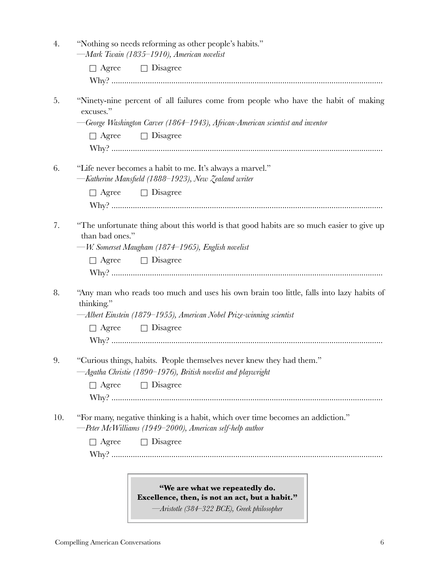| 4.  | "Nothing so needs reforming as other people's habits."<br>-Mark Twain (1835-1910), American novelist                                        |
|-----|---------------------------------------------------------------------------------------------------------------------------------------------|
|     | $\Box$ Agree $\Box$ Disagree                                                                                                                |
|     |                                                                                                                                             |
| 5.  | "Ninety-nine percent of all failures come from people who have the habit of making<br>excuses."                                             |
|     | -George Washington Carver (1864–1943), African-American scientist and inventor                                                              |
|     | $\Box$ Disagree<br>$\Box$ Agree                                                                                                             |
|     |                                                                                                                                             |
| 6.  | "Life never becomes a habit to me. It's always a marvel."<br>-Katherine Mansfield (1888–1923), New Zealand writer                           |
|     | $\Box$ Agree $\Box$ Disagree                                                                                                                |
|     |                                                                                                                                             |
| 7.  | "The unfortunate thing about this world is that good habits are so much easier to give up<br>than bad ones."                                |
|     | —W. Somerset Maugham (1874–1965), English novelist                                                                                          |
|     | $\Box$ Agree $\Box$ Disagree                                                                                                                |
|     |                                                                                                                                             |
| 8.  | "Any man who reads too much and uses his own brain too little, falls into lazy habits of<br>thinking."                                      |
|     | -Albert Einstein (1879–1955), American Nobel Prize-winning scientist                                                                        |
|     | $\Box$ Agree $\Box$ Disagree                                                                                                                |
|     |                                                                                                                                             |
| 9.  | "Curious things, habits. People themselves never knew they had them."                                                                       |
|     | -Agatha Christie (1890–1976), British novelist and playwright                                                                               |
|     | $\Box$ Agree $\Box$ Disagree                                                                                                                |
|     |                                                                                                                                             |
| 10. | "For many, negative thinking is a habit, which over time becomes an addiction."<br>-Peter McWilliams (1949-2000), American self-help author |
|     | $\Box$ Agree<br>$\Box$ Disagree                                                                                                             |
|     |                                                                                                                                             |
|     |                                                                                                                                             |
|     | "We are what we repeatedly do.                                                                                                              |
|     | Excellence, then, is not an act, but a habit."                                                                                              |

*—Aristotle (384–322 BCE), Greek philosopher*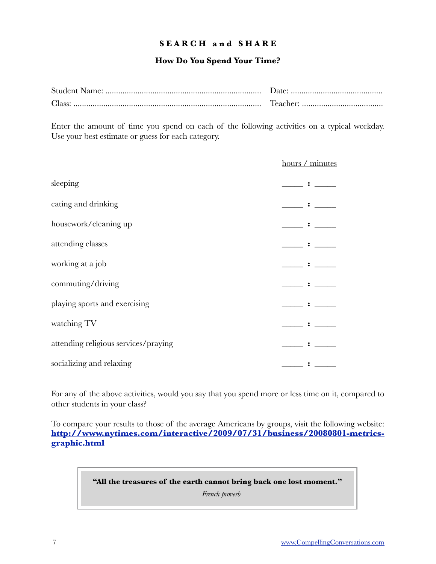#### **S E A R C H a n d S H A R E**

#### **How Do You Spend Your Time?**

| Class: |  |
|--------|--|

Enter the amount of time you spend on each of the following activities on a typical weekday. Use your best estimate or guess for each category.

|                                      | hours / minutes |
|--------------------------------------|-----------------|
| sleeping                             |                 |
| eating and drinking                  |                 |
| housework/cleaning up                |                 |
| attending classes                    |                 |
| working at a job                     |                 |
| commuting/driving                    |                 |
| playing sports and exercising        |                 |
| watching TV                          |                 |
| attending religious services/praying |                 |
| socializing and relaxing             |                 |

For any of the above activities, would you say that you spend more or less time on it, compared to other students in your class?

To compare your results to those of the average Americans by groups, visit the following website: **[http://www.nytimes.com/interactive/2009/07/31/business/20080801-metrics](http://www.nytimes.com/interactive/2009/07/31/business/20080801-metrics-graphic.html)[graphic.html](http://www.nytimes.com/interactive/2009/07/31/business/20080801-metrics-graphic.html)**

#### **"All the treasures of the earth cannot bring back one lost moment."**

*—French proverb*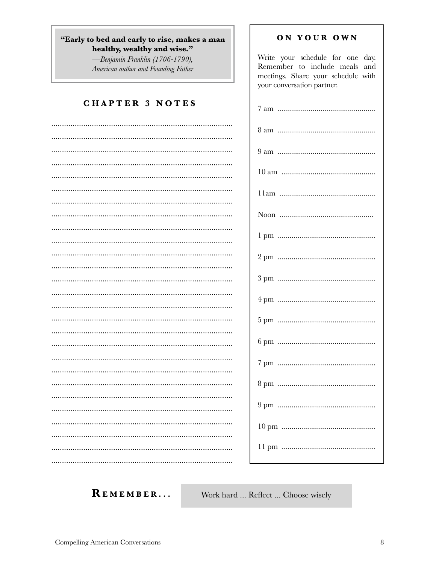#### "Early to bed and early to rise, makes a man healthy, wealthy and wise."

Benjamin Franklin (1706-1790), American author and Founding Father

### **CHAPTER 3 NOTES**

| . |
|---|

#### ON YOUR OWN

Write your schedule for one day. Remember to include meals and meetings. Share your schedule with your conversation partner. 

REMEMBER...

Work hard ... Reflect ... Choose wisely